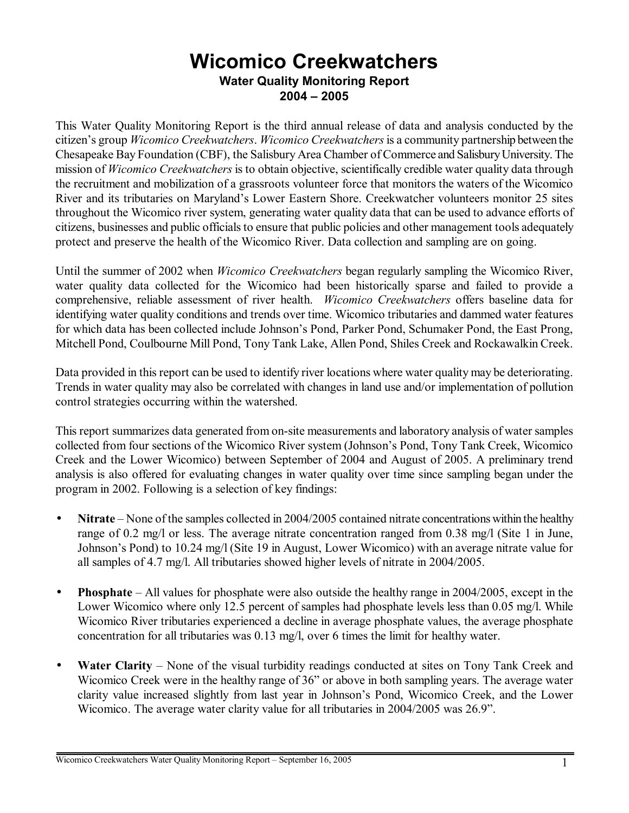# **Wicomico Creekwatchers Water Quality Monitoring Report 2004 ñ 2005**

This Water Quality Monitoring Report is the third annual release of data and analysis conducted by the citizenís group *Wicomico Creekwatchers*. *Wicomico Creekwatchers* is a community partnership between the Chesapeake Bay Foundation (CBF), the Salisbury Area Chamber of Commerce and Salisbury University. The mission of *Wicomico Creekwatchers* is to obtain objective, scientifically credible water quality data through the recruitment and mobilization of a grassroots volunteer force that monitors the waters of the Wicomico River and its tributaries on Maryland's Lower Eastern Shore. Creekwatcher volunteers monitor 25 sites throughout the Wicomico river system, generating water quality data that can be used to advance efforts of citizens, businesses and public officials to ensure that public policies and other management tools adequately protect and preserve the health of the Wicomico River. Data collection and sampling are on going.

Until the summer of 2002 when *Wicomico Creekwatchers* began regularly sampling the Wicomico River, water quality data collected for the Wicomico had been historically sparse and failed to provide a comprehensive, reliable assessment of river health. *Wicomico Creekwatchers* offers baseline data for identifying water quality conditions and trends over time. Wicomico tributaries and dammed water features for which data has been collected include Johnson's Pond, Parker Pond, Schumaker Pond, the East Prong, Mitchell Pond, Coulbourne Mill Pond, Tony Tank Lake, Allen Pond, Shiles Creek and Rockawalkin Creek.

Data provided in this report can be used to identify river locations where water quality may be deteriorating. Trends in water quality may also be correlated with changes in land use and/or implementation of pollution control strategies occurring within the watershed.

This report summarizes data generated from on-site measurements and laboratory analysis of water samples collected from four sections of the Wicomico River system (Johnson's Pond, Tony Tank Creek, Wicomico Creek and the Lower Wicomico) between September of 2004 and August of 2005. A preliminary trend analysis is also offered for evaluating changes in water quality over time since sampling began under the program in 2002. Following is a selection of key findings:

- Nitrate None of the samples collected in 2004/2005 contained nitrate concentrations within the healthy range of 0.2 mg/l or less. The average nitrate concentration ranged from 0.38 mg/l (Site 1 in June, Johnson's Pond) to 10.24 mg/l (Site 19 in August, Lower Wicomico) with an average nitrate value for all samples of 4.7 mg/l. All tributaries showed higher levels of nitrate in 2004/2005.
- **Phosphate** All values for phosphate were also outside the healthy range in 2004/2005, except in the Lower Wicomico where only 12.5 percent of samples had phosphate levels less than 0.05 mg/l. While Wicomico River tributaries experienced a decline in average phosphate values, the average phosphate concentration for all tributaries was 0.13 mg/l, over 6 times the limit for healthy water.
- Water Clarity None of the visual turbidity readings conducted at sites on Tony Tank Creek and Wicomico Creek were in the healthy range of 36" or above in both sampling years. The average water clarity value increased slightly from last year in Johnson's Pond, Wicomico Creek, and the Lower Wicomico. The average water clarity value for all tributaries in 2004/2005 was 26.9".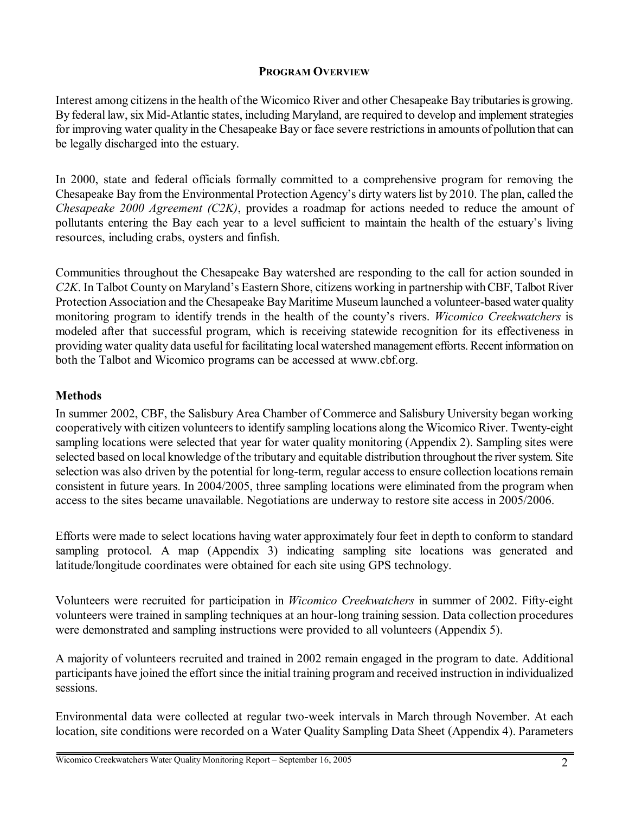## **PROGRAM OVERVIEW**

Interest among citizens in the health of the Wicomico River and other Chesapeake Bay tributaries is growing. By federal law, six Mid-Atlantic states, including Maryland, are required to develop and implement strategies for improving water quality in the Chesapeake Bay or face severe restrictions in amounts of pollution that can be legally discharged into the estuary.

In 2000, state and federal officials formally committed to a comprehensive program for removing the Chesapeake Bay from the Environmental Protection Agency's dirty waters list by 2010. The plan, called the *Chesapeake 2000 Agreement (C2K)*, provides a roadmap for actions needed to reduce the amount of pollutants entering the Bay each year to a level sufficient to maintain the health of the estuary's living resources, including crabs, oysters and finfish.

Communities throughout the Chesapeake Bay watershed are responding to the call for action sounded in *C2K*. In Talbot County on Maryland's Eastern Shore, citizens working in partnership with CBF, Talbot River Protection Association and the Chesapeake Bay Maritime Museum launched a volunteer-based water quality monitoring program to identify trends in the health of the county's rivers. *Wicomico Creekwatchers* is modeled after that successful program, which is receiving statewide recognition for its effectiveness in providing water quality data useful for facilitating local watershed management efforts. Recent information on both the Talbot and Wicomico programs can be accessed at www.cbf.org.

## **Methods**

In summer 2002, CBF, the Salisbury Area Chamber of Commerce and Salisbury University began working cooperatively with citizen volunteers to identify sampling locations along the Wicomico River. Twenty-eight sampling locations were selected that year for water quality monitoring (Appendix 2). Sampling sites were selected based on local knowledge of the tributary and equitable distribution throughout the river system. Site selection was also driven by the potential for long-term, regular access to ensure collection locations remain consistent in future years. In 2004/2005, three sampling locations were eliminated from the program when access to the sites became unavailable. Negotiations are underway to restore site access in 2005/2006.

Efforts were made to select locations having water approximately four feet in depth to conform to standard sampling protocol. A map (Appendix 3) indicating sampling site locations was generated and latitude/longitude coordinates were obtained for each site using GPS technology.

Volunteers were recruited for participation in *Wicomico Creekwatchers* in summer of 2002. Fifty-eight volunteers were trained in sampling techniques at an hour-long training session. Data collection procedures were demonstrated and sampling instructions were provided to all volunteers (Appendix 5).

A majority of volunteers recruited and trained in 2002 remain engaged in the program to date. Additional participants have joined the effort since the initial training program and received instruction in individualized sessions.

Environmental data were collected at regular two-week intervals in March through November. At each location, site conditions were recorded on a Water Quality Sampling Data Sheet (Appendix 4). Parameters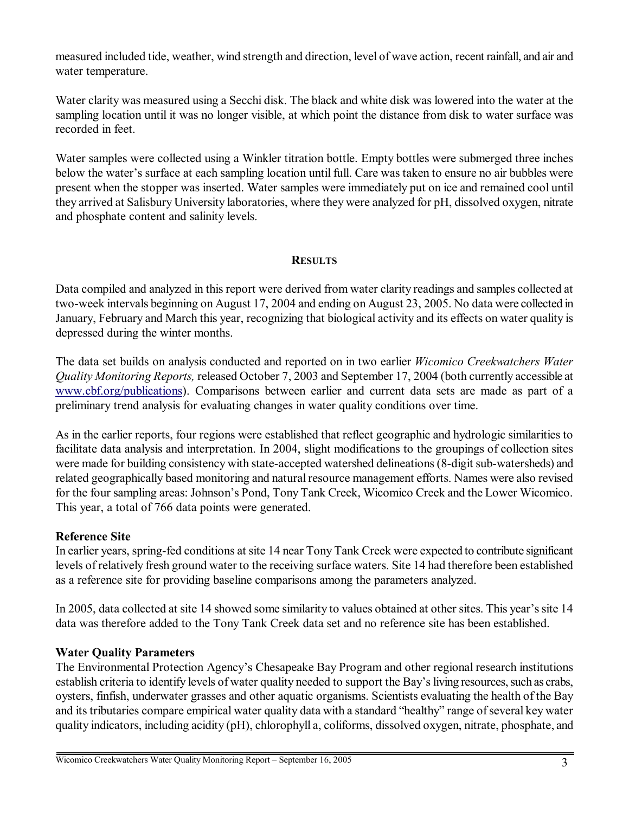measured included tide, weather, wind strength and direction, level of wave action, recent rainfall, and air and water temperature.

Water clarity was measured using a Secchi disk. The black and white disk was lowered into the water at the sampling location until it was no longer visible, at which point the distance from disk to water surface was recorded in feet.

Water samples were collected using a Winkler titration bottle. Empty bottles were submerged three inches below the water's surface at each sampling location until full. Care was taken to ensure no air bubbles were present when the stopper was inserted. Water samples were immediately put on ice and remained cool until they arrived at Salisbury University laboratories, where they were analyzed for pH, dissolved oxygen, nitrate and phosphate content and salinity levels.

## **RESULTS**

Data compiled and analyzed in this report were derived from water clarity readings and samples collected at two-week intervals beginning on August 17, 2004 and ending on August 23, 2005. No data were collected in January, February and March this year, recognizing that biological activity and its effects on water quality is depressed during the winter months.

The data set builds on analysis conducted and reported on in two earlier *Wicomico Creekwatchers Water Quality Monitoring Reports,* released October 7, 2003 and September 17, 2004 (both currently accessible at www.cbf.org/publications). Comparisons between earlier and current data sets are made as part of a preliminary trend analysis for evaluating changes in water quality conditions over time.

As in the earlier reports, four regions were established that reflect geographic and hydrologic similarities to facilitate data analysis and interpretation. In 2004, slight modifications to the groupings of collection sites were made for building consistency with state-accepted watershed delineations (8-digit sub-watersheds) and related geographically based monitoring and natural resource management efforts. Names were also revised for the four sampling areas: Johnson's Pond, Tony Tank Creek, Wicomico Creek and the Lower Wicomico. This year, a total of 766 data points were generated.

## **Reference Site**

In earlier years, spring-fed conditions at site 14 near Tony Tank Creek were expected to contribute significant levels of relatively fresh ground water to the receiving surface waters. Site 14 had therefore been established as a reference site for providing baseline comparisons among the parameters analyzed.

In 2005, data collected at site 14 showed some similarity to values obtained at other sites. This year's site 14 data was therefore added to the Tony Tank Creek data set and no reference site has been established.

## **Water Quality Parameters**

The Environmental Protection Agency's Chesapeake Bay Program and other regional research institutions establish criteria to identify levels of water quality needed to support the Bay's living resources, such as crabs, oysters, finfish, underwater grasses and other aquatic organisms. Scientists evaluating the health of the Bay and its tributaries compare empirical water quality data with a standard "healthy" range of several key water quality indicators, including acidity (pH), chlorophyll a, coliforms, dissolved oxygen, nitrate, phosphate, and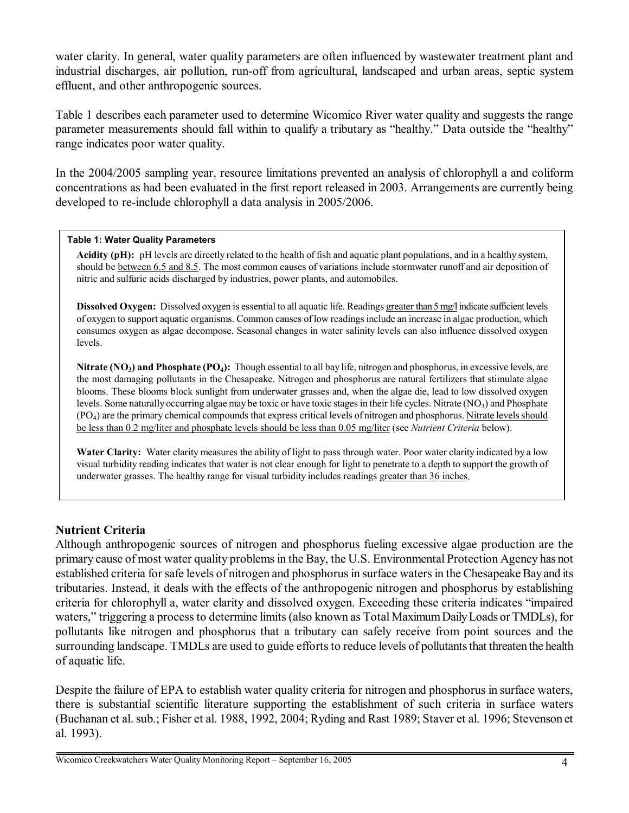water clarity. In general, water quality parameters are often influenced by wastewater treatment plant and industrial discharges, air pollution, run-off from agricultural, landscaped and urban areas, septic system effluent, and other anthropogenic sources.

Table 1 describes each parameter used to determine Wicomico River water quality and suggests the range parameter measurements should fall within to qualify a tributary as "healthy." Data outside the "healthy" range indicates poor water quality.

In the 2004/2005 sampling year, resource limitations prevented an analysis of chlorophyll a and coliform concentrations as had been evaluated in the first report released in 2003. Arrangements are currently being developed to re-include chlorophyll a data analysis in 2005/2006.

### **Table 1: Water Quality Parameters**

**Acidity (pH):** pH levels are directly related to the health of fish and aquatic plant populations, and in a healthy system, should be between 6.5 and 8.5. The most common causes of variations include stormwater runoff and air deposition of nitric and sulfuric acids discharged by industries, power plants, and automobiles.

Dissolved Oxygen: Dissolved oxygen is essential to all aquatic life. Readings greater than 5 mg/l indicate sufficient levels of oxygen to support aquatic organisms. Common causes of low readings include an increase in algae production, which consumes oxygen as algae decompose. Seasonal changes in water salinity levels can also influence dissolved oxygen levels.

**Nitrate (NO<sub>3</sub>) and Phosphate (PO<sub>4</sub>):** Though essential to all bay life, nitrogen and phosphorus, in excessive levels, are the most damaging pollutants in the Chesapeake. Nitrogen and phosphorus are natural fertilizers that stimulate algae blooms. These blooms block sunlight from underwater grasses and, when the algae die, lead to low dissolved oxygen levels. Some naturally occurring algae may be toxic or have toxic stages in their life cycles. Nitrate  $(NO<sub>3</sub>)$  and Phosphate (PO4) are the primary chemical compounds that express critical levels of nitrogen and phosphorus. Nitrate levels should be less than 0.2 mg/liter and phosphate levels should be less than 0.05 mg/liter (see *Nutrient Criteria* below).

**Water Clarity:** Water clarity measures the ability of light to pass through water. Poor water clarity indicated by a low visual turbidity reading indicates that water is not clear enough for light to penetrate to a depth to support the growth of underwater grasses. The healthy range for visual turbidity includes readings greater than 36 inches.

## **Nutrient Criteria**

Although anthropogenic sources of nitrogen and phosphorus fueling excessive algae production are the primary cause of most water quality problems in the Bay, the U.S. Environmental Protection Agency has not established criteria for safe levels of nitrogen and phosphorus in surface waters in the Chesapeake Bay and its tributaries. Instead, it deals with the effects of the anthropogenic nitrogen and phosphorus by establishing criteria for chlorophyll a, water clarity and dissolved oxygen. Exceeding these criteria indicates "impaired" waters," triggering a process to determine limits (also known as Total Maximum Daily Loads or TMDLs), for pollutants like nitrogen and phosphorus that a tributary can safely receive from point sources and the surrounding landscape. TMDLs are used to guide efforts to reduce levels of pollutants that threaten the health of aquatic life.

Despite the failure of EPA to establish water quality criteria for nitrogen and phosphorus in surface waters, there is substantial scientific literature supporting the establishment of such criteria in surface waters (Buchanan et al. sub.; Fisher et al. 1988, 1992, 2004; Ryding and Rast 1989; Staver et al. 1996; Stevenson et al. 1993).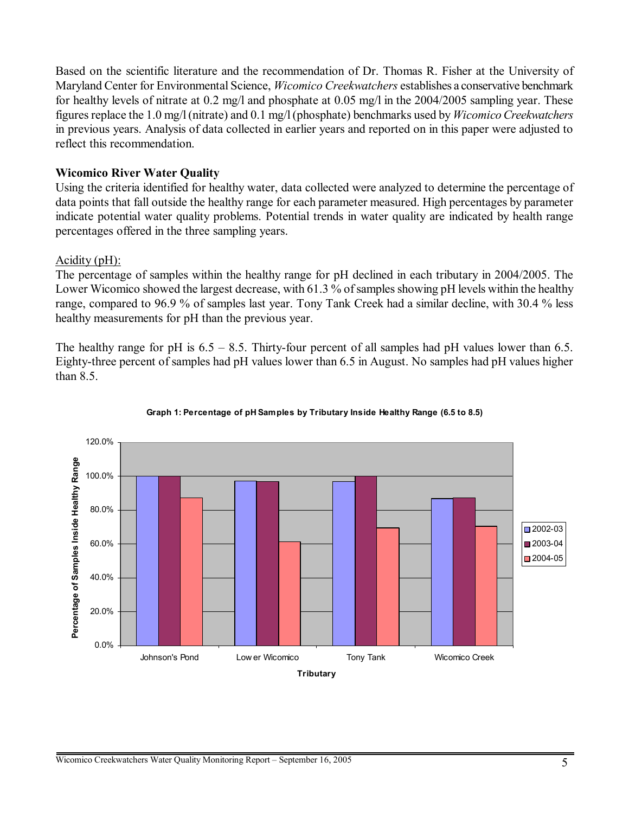Based on the scientific literature and the recommendation of Dr. Thomas R. Fisher at the University of Maryland Center for Environmental Science, *Wicomico Creekwatchers* establishes a conservative benchmark for healthy levels of nitrate at 0.2 mg/l and phosphate at 0.05 mg/l in the 2004/2005 sampling year. These figures replace the 1.0 mg/l (nitrate) and 0.1 mg/l (phosphate) benchmarks used by *Wicomico Creekwatchers* in previous years. Analysis of data collected in earlier years and reported on in this paper were adjusted to reflect this recommendation.

## **Wicomico River Water Quality**

Using the criteria identified for healthy water, data collected were analyzed to determine the percentage of data points that fall outside the healthy range for each parameter measured. High percentages by parameter indicate potential water quality problems. Potential trends in water quality are indicated by health range percentages offered in the three sampling years.

## Acidity (pH):

The percentage of samples within the healthy range for pH declined in each tributary in 2004/2005. The Lower Wicomico showed the largest decrease, with 61.3 % of samples showing pH levels within the healthy range, compared to 96.9 % of samples last year. Tony Tank Creek had a similar decline, with 30.4 % less healthy measurements for pH than the previous year.

The healthy range for pH is  $6.5 - 8.5$ . Thirty-four percent of all samples had pH values lower than 6.5. Eighty-three percent of samples had pH values lower than 6.5 in August. No samples had pH values higher than 8.5.



### **Graph 1: Percentage of pH Samples by Tributary Inside Healthy Range (6.5 to 8.5)**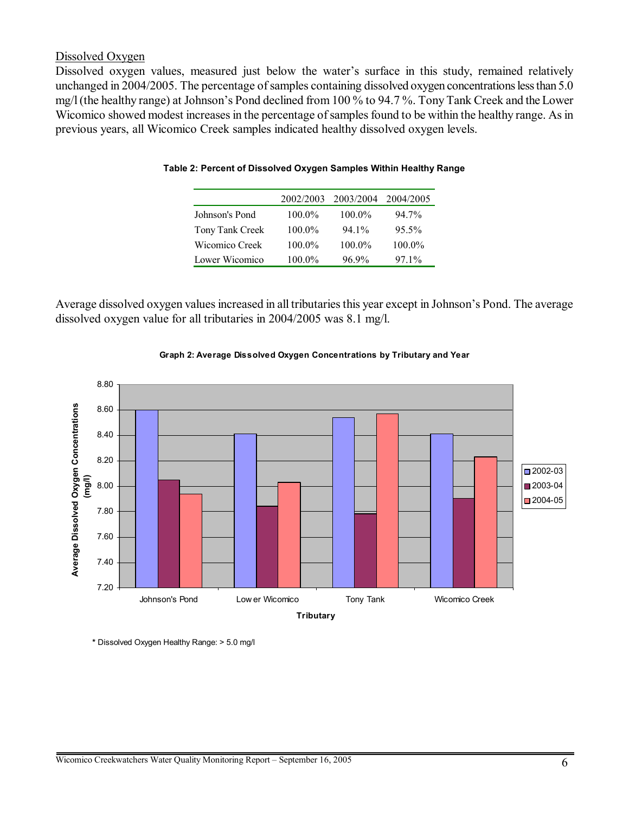### Dissolved Oxygen

Dissolved oxygen values, measured just below the water's surface in this study, remained relatively unchanged in 2004/2005. The percentage of samples containing dissolved oxygen concentrations less than 5.0 mg/l (the healthy range) at Johnson's Pond declined from 100 % to 94.7 %. Tony Tank Creek and the Lower Wicomico showed modest increases in the percentage of samples found to be within the healthy range. As in previous years, all Wicomico Creek samples indicated healthy dissolved oxygen levels.

|                 | 2002/2003 | 2003/2004 | 2004/2005 |
|-----------------|-----------|-----------|-----------|
| Johnson's Pond  | $100.0\%$ | $100.0\%$ | 94.7%     |
| Tony Tank Creek | $100.0\%$ | $941\%$   | $95.5\%$  |
| Wicomico Creek  | $100.0\%$ | $100.0\%$ | $100.0\%$ |
| Lower Wicomico  | $100.0\%$ | 96.9%     | $971\%$   |

### **Table 2: Percent of Dissolved Oxygen Samples Within Healthy Range**

Average dissolved oxygen values increased in all tributaries this year except in Johnson's Pond. The average dissolved oxygen value for all tributaries in 2004/2005 was 8.1 mg/l.



### **Graph 2: Average Dissolved Oxygen Concentrations by Tributary and Year**

**\*** Dissolved Oxygen Healthy Range: > 5.0 mg/l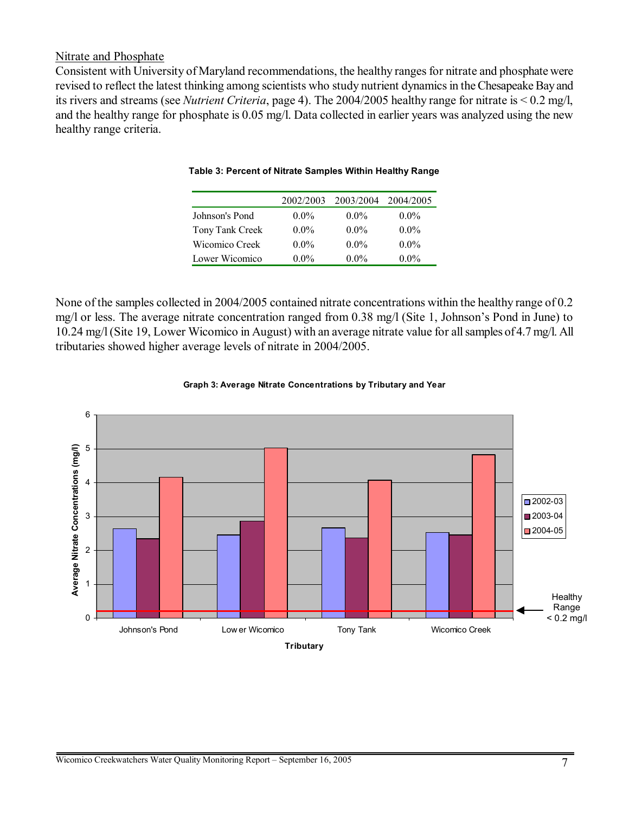### Nitrate and Phosphate

Consistent with University of Maryland recommendations, the healthy ranges for nitrate and phosphate were revised to reflect the latest thinking among scientists who study nutrient dynamics in the Chesapeake Bay and its rivers and streams (see *Nutrient Criteria*, page 4). The 2004/2005 healthy range for nitrate is < 0.2 mg/l, and the healthy range for phosphate is 0.05 mg/l. Data collected in earlier years was analyzed using the new healthy range criteria.

|                 | 2002/2003 | 2003/2004 | 2004/2005 |
|-----------------|-----------|-----------|-----------|
| Johnson's Pond  | $0.0\%$   | $0.0\%$   | $0.0\%$   |
| Tony Tank Creek | $0.0\%$   | $0.0\%$   | $0.0\%$   |
| Wicomico Creek  | $0.0\%$   | $0.0\%$   | $0.0\%$   |
| Lower Wicomico  | $0.0\%$   | $0.0\%$   | $0.0\%$   |

#### **Table 3: Percent of Nitrate Samples Within Healthy Range**

None of the samples collected in 2004/2005 contained nitrate concentrations within the healthy range of 0.2 mg/l or less. The average nitrate concentration ranged from 0.38 mg/l (Site 1, Johnson's Pond in June) to 10.24 mg/l (Site 19, Lower Wicomico in August) with an average nitrate value for all samples of 4.7 mg/l. All tributaries showed higher average levels of nitrate in 2004/2005.



#### **Graph 3: Average Nitrate Concentrations by Tributary and Year**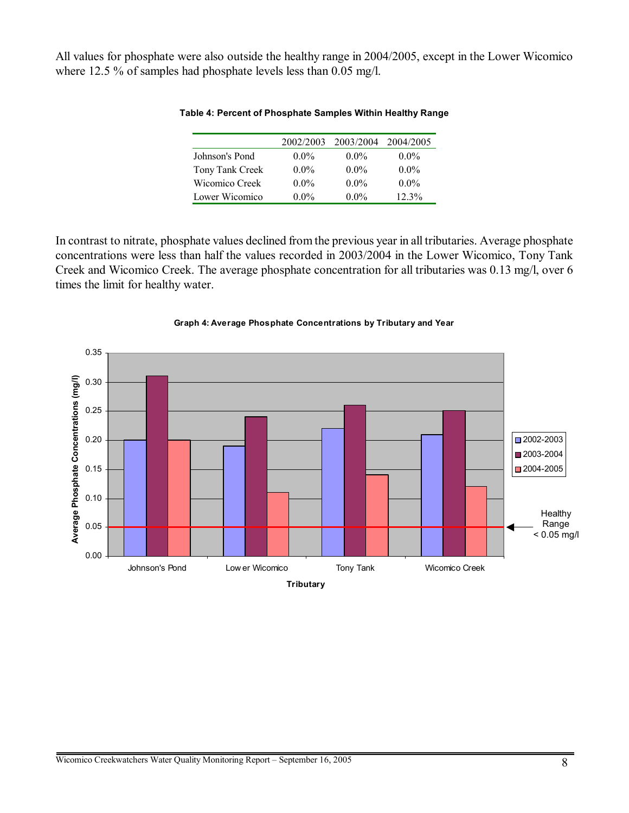All values for phosphate were also outside the healthy range in 2004/2005, except in the Lower Wicomico where 12.5 % of samples had phosphate levels less than 0.05 mg/l.

|                 | 2002/2003 | 2003/2004 | 2004/2005 |
|-----------------|-----------|-----------|-----------|
| Johnson's Pond  | $0.0\%$   | $0.0\%$   | $0.0\%$   |
| Tony Tank Creek | $0.0\%$   | $0.0\%$   | $0.0\%$   |
| Wicomico Creek  | $0.0\%$   | $0.0\%$   | $0.0\%$   |
| Lower Wicomico  | $0.0\%$   | $0.0\%$   | $12.3\%$  |

#### **Table 4: Percent of Phosphate Samples Within Healthy Range**

In contrast to nitrate, phosphate values declined from the previous year in all tributaries. Average phosphate concentrations were less than half the values recorded in 2003/2004 in the Lower Wicomico, Tony Tank Creek and Wicomico Creek. The average phosphate concentration for all tributaries was 0.13 mg/l, over 6 times the limit for healthy water.



#### **Graph 4: Average Phosphate Concentrations by Tributary and Year**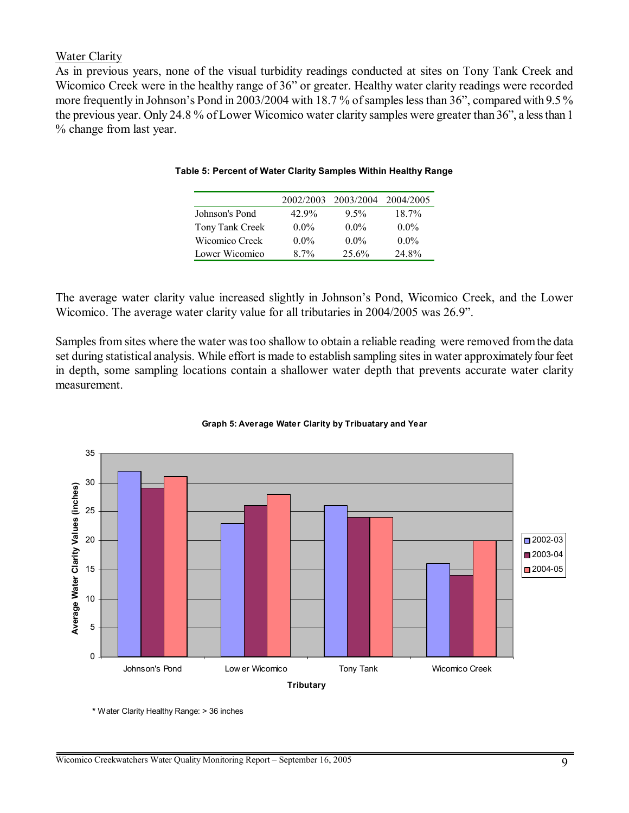### Water Clarity

As in previous years, none of the visual turbidity readings conducted at sites on Tony Tank Creek and Wicomico Creek were in the healthy range of 36" or greater. Healthy water clarity readings were recorded more frequently in Johnson's Pond in 2003/2004 with 18.7% of samples less than 36", compared with 9.5% the previous year. Only 24.8 % of Lower Wicomico water clarity samples were greater than 36", a less than 1 % change from last year.

|                 |         | 2002/2003 2003/2004 | 2004/2005 |
|-----------------|---------|---------------------|-----------|
| Johnson's Pond  | 42.9%   | $9.5\%$             | 18.7%     |
| Tony Tank Creek | $0.0\%$ | $0.0\%$             | $0.0\%$   |
| Wicomico Creek  | $0.0\%$ | $0.0\%$             | $0.0\%$   |
| Lower Wicomico  | 87%     | 25.6%               | 24.8%     |

#### **Table 5: Percent of Water Clarity Samples Within Healthy Range**

The average water clarity value increased slightly in Johnson's Pond, Wicomico Creek, and the Lower Wicomico. The average water clarity value for all tributaries in 2004/2005 was 26.9".

Samples from sites where the water was too shallow to obtain a reliable reading were removed from the data set during statistical analysis. While effort is made to establish sampling sites in water approximately four feet in depth, some sampling locations contain a shallower water depth that prevents accurate water clarity measurement.



#### **Graph 5: Average Water Clarity by Tribuatary and Year**

**\*** Water Clarity Healthy Range: > 36 inches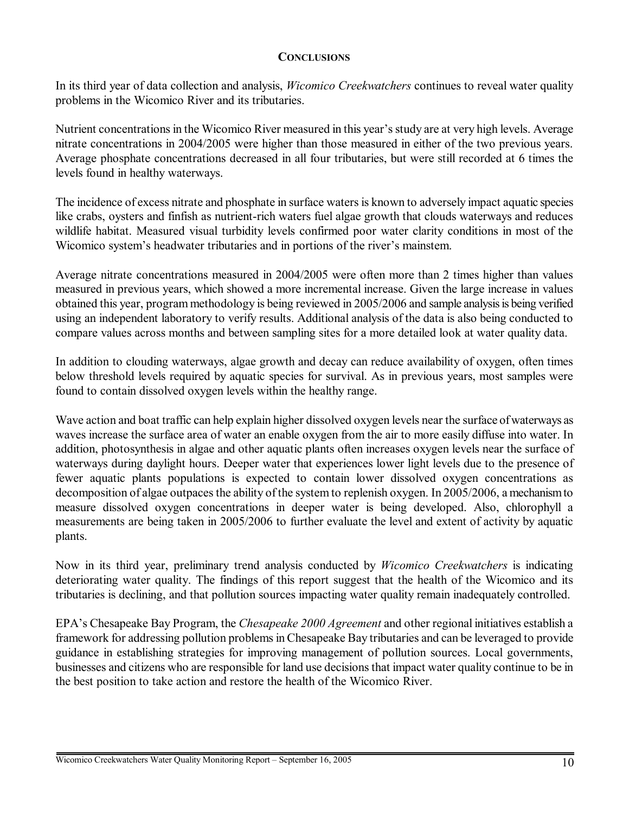### **CONCLUSIONS**

In its third year of data collection and analysis, *Wicomico Creekwatchers* continues to reveal water quality problems in the Wicomico River and its tributaries.

Nutrient concentrations in the Wicomico River measured in this year's study are at very high levels. Average nitrate concentrations in 2004/2005 were higher than those measured in either of the two previous years. Average phosphate concentrations decreased in all four tributaries, but were still recorded at 6 times the levels found in healthy waterways.

The incidence of excess nitrate and phosphate in surface waters is known to adversely impact aquatic species like crabs, oysters and finfish as nutrient-rich waters fuel algae growth that clouds waterways and reduces wildlife habitat. Measured visual turbidity levels confirmed poor water clarity conditions in most of the Wicomico system's headwater tributaries and in portions of the river's mainstem.

Average nitrate concentrations measured in 2004/2005 were often more than 2 times higher than values measured in previous years, which showed a more incremental increase. Given the large increase in values obtained this year, program methodology is being reviewed in 2005/2006 and sample analysis is being verified using an independent laboratory to verify results. Additional analysis of the data is also being conducted to compare values across months and between sampling sites for a more detailed look at water quality data.

In addition to clouding waterways, algae growth and decay can reduce availability of oxygen, often times below threshold levels required by aquatic species for survival. As in previous years, most samples were found to contain dissolved oxygen levels within the healthy range.

Wave action and boat traffic can help explain higher dissolved oxygen levels near the surface of waterways as waves increase the surface area of water an enable oxygen from the air to more easily diffuse into water. In addition, photosynthesis in algae and other aquatic plants often increases oxygen levels near the surface of waterways during daylight hours. Deeper water that experiences lower light levels due to the presence of fewer aquatic plants populations is expected to contain lower dissolved oxygen concentrations as decomposition of algae outpaces the ability of the system to replenish oxygen. In 2005/2006, a mechanism to measure dissolved oxygen concentrations in deeper water is being developed. Also, chlorophyll a measurements are being taken in 2005/2006 to further evaluate the level and extent of activity by aquatic plants.

Now in its third year, preliminary trend analysis conducted by *Wicomico Creekwatchers* is indicating deteriorating water quality. The findings of this report suggest that the health of the Wicomico and its tributaries is declining, and that pollution sources impacting water quality remain inadequately controlled.

EPAís Chesapeake Bay Program, the *Chesapeake 2000 Agreement* and other regional initiatives establish a framework for addressing pollution problems in Chesapeake Bay tributaries and can be leveraged to provide guidance in establishing strategies for improving management of pollution sources. Local governments, businesses and citizens who are responsible for land use decisions that impact water quality continue to be in the best position to take action and restore the health of the Wicomico River.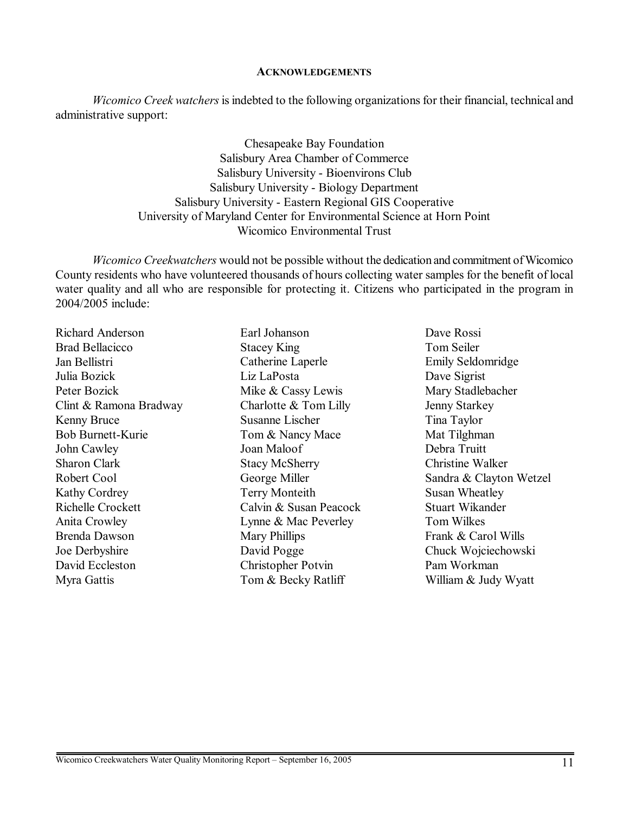#### **ACKNOWLEDGEMENTS**

*Wicomico Creek watchers* is indebted to the following organizations for their financial, technical and administrative support:

> Chesapeake Bay Foundation Salisbury Area Chamber of Commerce Salisbury University - Bioenvirons Club Salisbury University - Biology Department Salisbury University - Eastern Regional GIS Cooperative University of Maryland Center for Environmental Science at Horn Point Wicomico Environmental Trust

*Wicomico Creekwatchers* would not be possible without the dedication and commitment of Wicomico County residents who have volunteered thousands of hours collecting water samples for the benefit of local water quality and all who are responsible for protecting it. Citizens who participated in the program in 2004/2005 include:

Richard Anderson Brad Bellacicco Jan Bellistri Julia Bozick Peter Bozick Clint & Ramona Bradway Kenny Bruce Bob Burnett-Kurie John Cawley Sharon Clark Robert Cool Kathy Cordrey Richelle Crockett Anita Crowley Brenda Dawson Joe Derbyshire David Eccleston Myra Gattis

Earl Johanson Stacey King Catherine Laperle Liz LaPosta Mike & Cassy Lewis Charlotte & Tom Lilly Susanne Lischer Tom & Nancy Mace Joan Maloof Stacy McSherry George Miller Terry Monteith Calvin & Susan Peacock Lynne & Mac Peverley Mary Phillips David Pogge Christopher Potvin Tom & Becky Ratliff

Dave Rossi Tom Seiler Emily Seldomridge Dave Sigrist Mary Stadlebacher Jenny Starkey Tina Taylor Mat Tilghman Debra Truitt Christine Walker Sandra & Clayton Wetzel Susan Wheatley Stuart Wikander Tom Wilkes Frank & Carol Wills Chuck Wojciechowski Pam Workman William & Judy Wyatt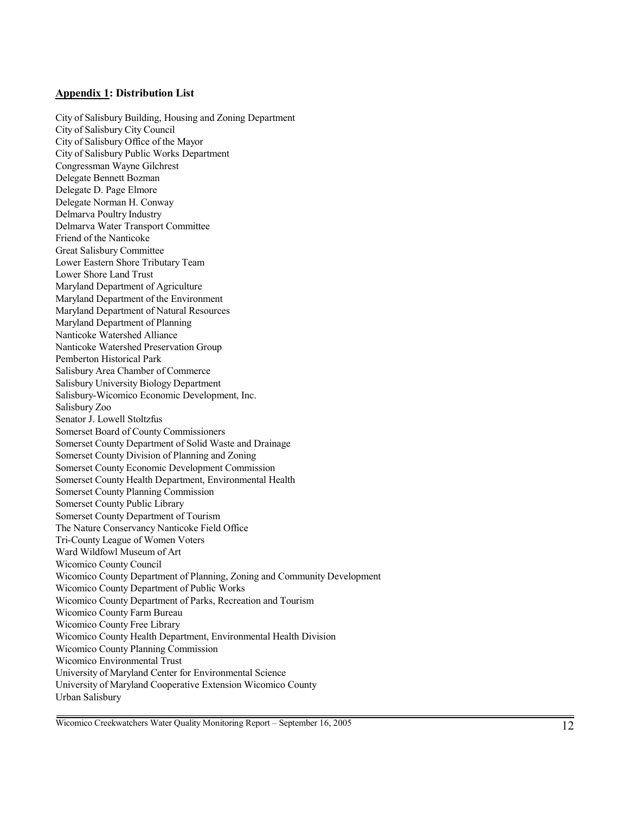#### **Appendix 1: Distribution List**

City of Salisbury Building, Housing and Zoning Department City of Salisbury City Council City of Salisbury Office of the Mayor City of Salisbury Public Works Department Congressman Wayne Gilchrest Delegate Bennett Bozman Delegate D. Page Elmore Delegate Norman H. Conway Delmarva Poultry Industry Delmarva Water Transport Committee Friend of the Nanticoke Great Salisbury Committee Lower Eastern Shore Tributary Team Lower Shore Land Trust Maryland Department of Agriculture Maryland Department of the Environment Maryland Department of Natural Resources Maryland Department of Planning Nanticoke Watershed Alliance Nanticoke Watershed Preservation Group Pemberton Historical Park Salisbury Area Chamber of Commerce Salisbury University Biology Department Salisbury-Wicomico Economic Development, Inc. Salisbury Zoo Senator J. Lowell Stoltzfus Somerset Board of County Commissioners Somerset County Department of Solid Waste and Drainage Somerset County Division of Planning and Zoning Somerset County Economic Development Commission Somerset County Health Department, Environmental Health Somerset County Planning Commission Somerset County Public Library Somerset County Department of Tourism The Nature Conservancy Nanticoke Field Office Tri-County League of Women Voters Ward Wildfowl Museum of Art Wicomico County Council Wicomico County Department of Planning, Zoning and Community Development Wicomico County Department of Public Works Wicomico County Department of Parks, Recreation and Tourism Wicomico County Farm Bureau Wicomico County Free Library Wicomico County Health Department, Environmental Health Division Wicomico County Planning Commission Wicomico Environmental Trust University of Maryland Center for Environmental Science University of Maryland Cooperative Extension Wicomico County Urban Salisbury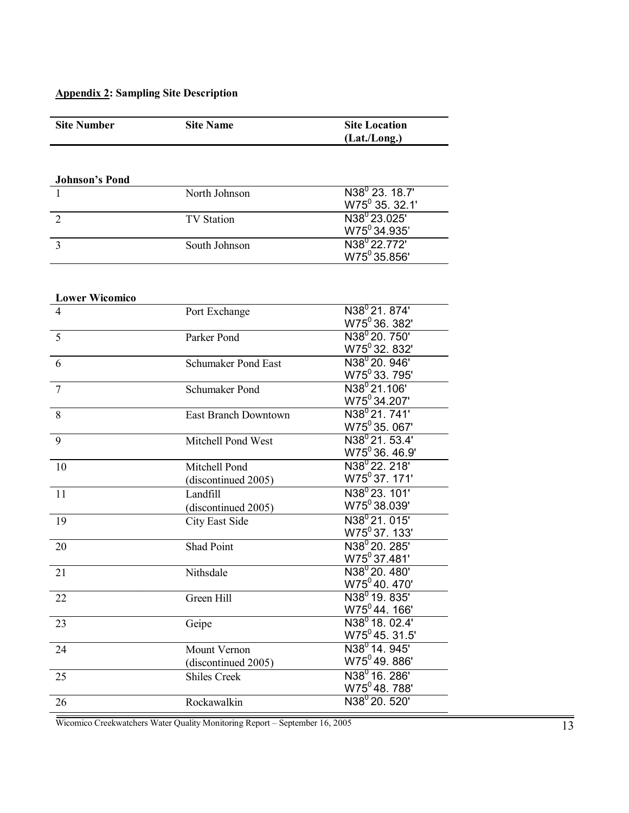# **Appendix 2: Sampling Site Description**

| <b>Site Number</b>    | <b>Site Name</b>                           | <b>Site Location</b>                           |
|-----------------------|--------------------------------------------|------------------------------------------------|
|                       |                                            | (Lat./Long.)                                   |
|                       |                                            |                                                |
| <b>Johnson's Pond</b> |                                            |                                                |
| 1                     | North Johnson                              | $N38^0$ 23. 18.7'                              |
|                       |                                            | W75 <sup>0</sup> 35. 32.1'                     |
| $\overline{2}$        | <b>TV Station</b>                          | $N38^0$ 23.025'                                |
|                       |                                            | W75 <sup>0</sup> 34.935'                       |
| 3                     | South Johnson                              | N38 <sup>0</sup> 22.772'                       |
|                       |                                            | W75 <sup>0</sup> 35.856'                       |
|                       |                                            |                                                |
| <b>Lower Wicomico</b> |                                            |                                                |
| $\overline{4}$        | Port Exchange                              | N38 <sup>0</sup> 21, 874'                      |
|                       |                                            | W75 <sup>0</sup> 36. 382'                      |
| 5                     | Parker Pond                                | N38 <sup>0</sup> 20. 750'                      |
|                       |                                            | W75 <sup>0</sup> 32. 832'                      |
| 6                     | Schumaker Pond East                        | N38 <sup>0</sup> 20. 946'                      |
|                       |                                            | $W75^0$ 33. 795'                               |
| $\overline{7}$        | Schumaker Pond                             | N38 <sup>0</sup> 21.106'                       |
|                       |                                            | W75 <sup>0</sup> 34.207'                       |
| 8                     | East Branch Downtown                       | $N38^0$ 21, 741'<br>W75 <sup>0</sup> 35.067'   |
| 9                     |                                            | $N38^{0}$ 21, 53.4'                            |
|                       | Mitchell Pond West                         | W75 <sup>0</sup> 36.46.9'                      |
| 10                    | Mitchell Pond                              | N38 <sup>0</sup> 22. 218'                      |
|                       | (discontinued 2005)                        | W75 <sup>0</sup> 37. 171'                      |
| 11                    | Landfill                                   | N38 <sup>0</sup> 23, 101'                      |
|                       | (discontinued 2005)                        | W75 <sup>0</sup> 38.039'                       |
| 19                    | City East Side                             | N38 <sup>0</sup> 21.015'                       |
|                       |                                            | W75 <sup>0</sup> 37.133'                       |
| 20                    | Shad Point                                 | $N38^0 20.285'$                                |
|                       |                                            | W75 <sup>0</sup> 37.481'                       |
| 21                    | Nithsdale                                  | N38 <sup>0</sup> 20, 480'                      |
|                       |                                            | W75 <sup>0</sup> 40. 470'                      |
| 22                    | Green Hill                                 | $N38^0$ 19, 835'                               |
|                       |                                            | W75 <sup>0</sup> 44.166'                       |
| 23                    | Geipe                                      | $N38^0$ 18. 02.4'                              |
|                       |                                            | $W75^0$ 45. 31.5'<br>N38 <sup>0</sup> 14. 945' |
| 24                    | Mount Vernon                               | W75 <sup>0</sup> 49.886'                       |
| 25                    | (discontinued 2005)<br><b>Shiles Creek</b> | N38 <sup>0</sup> 16. 286'                      |
|                       |                                            | W75 <sup>0</sup> 48.788'                       |
| 26                    | Rockawalkin                                | N38 <sup>0</sup> 20. 520'                      |
|                       |                                            |                                                |

Wicomico Creekwatchers Water Quality Monitoring Report – September 16, 2005 13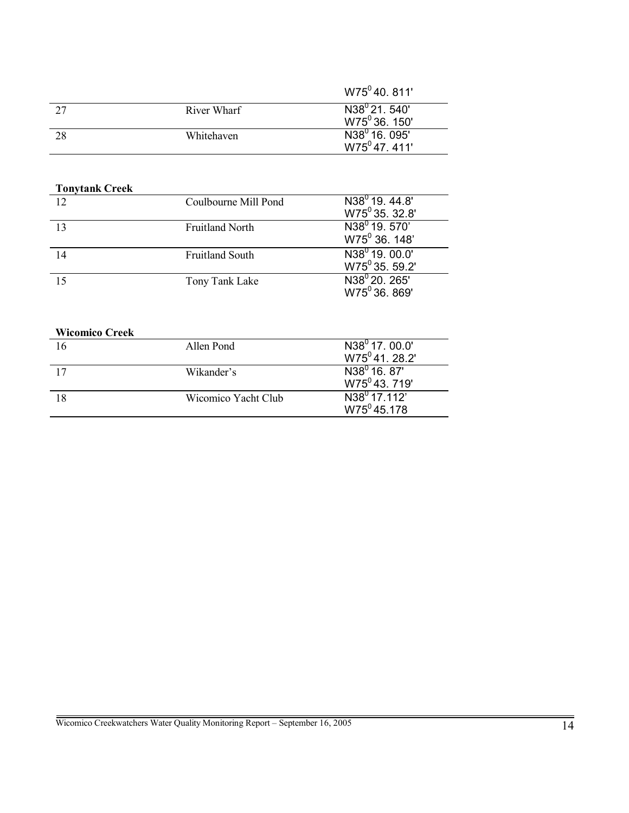|    |             | W75 <sup>0</sup> 40, 811'                              |
|----|-------------|--------------------------------------------------------|
| 27 | River Wharf | N38 <sup>0</sup> 21, 540'<br>W75 <sup>0</sup> 36, 150' |
| 28 | Whitehaven  | N38 <sup>0</sup> 16, 095'<br>$W75^047.411'$            |

| <b>Tonytank Creek</b> |                        |                                             |
|-----------------------|------------------------|---------------------------------------------|
| 12                    | Coulbourne Mill Pond   | $N38^0$ 19, 44.8'                           |
|                       |                        | W75 <sup>0</sup> 35. 32.8'                  |
| 13                    | <b>Fruitland North</b> | $\overline{\text{N}}38^{\text{o}}$ 19. 570' |
|                       |                        | W75 <sup>0</sup> 36. 148'                   |
| 14                    | <b>Fruitland South</b> | $N38^{\circ}$ 19, 00.0'                     |
|                       |                        | W75 <sup>0</sup> 35. 59.2'                  |
|                       | Tony Tank Lake         | N38 <sup>0</sup> 20, 265'                   |
|                       |                        | W75 <sup>0</sup> 36, 869'                   |

## **Wicomico Creek**

|    | Allen Pond          | $N38^0$ 17. 00.0'         |
|----|---------------------|---------------------------|
|    |                     | $W75^0$ 41, 28.2'         |
| 17 | Wikander's          | $N38^0$ 16, 87'           |
|    |                     | W75 <sup>0</sup> 43, 719' |
|    | Wicomico Yacht Club | $N38^0$ 17.112'           |
|    |                     | $W75^045.178$             |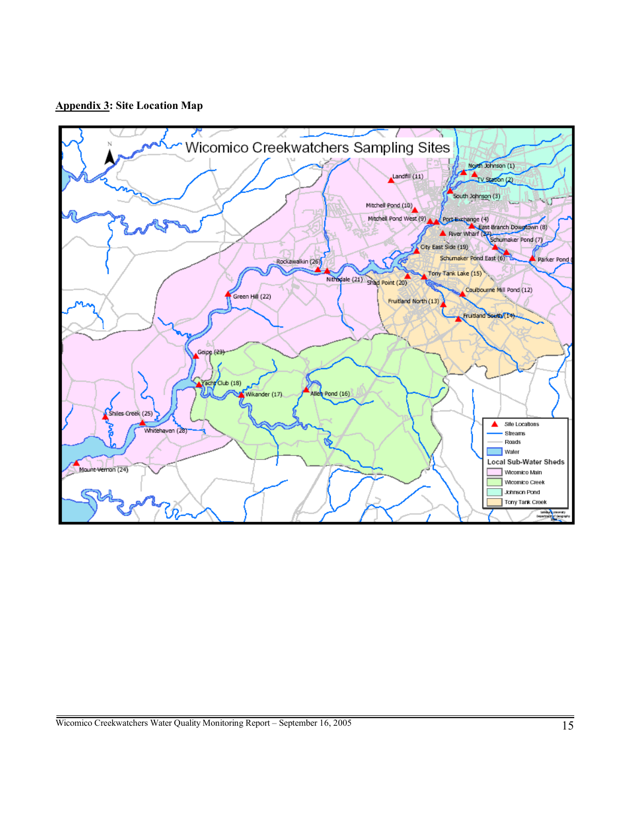**Appendix 3: Site Location Map** 

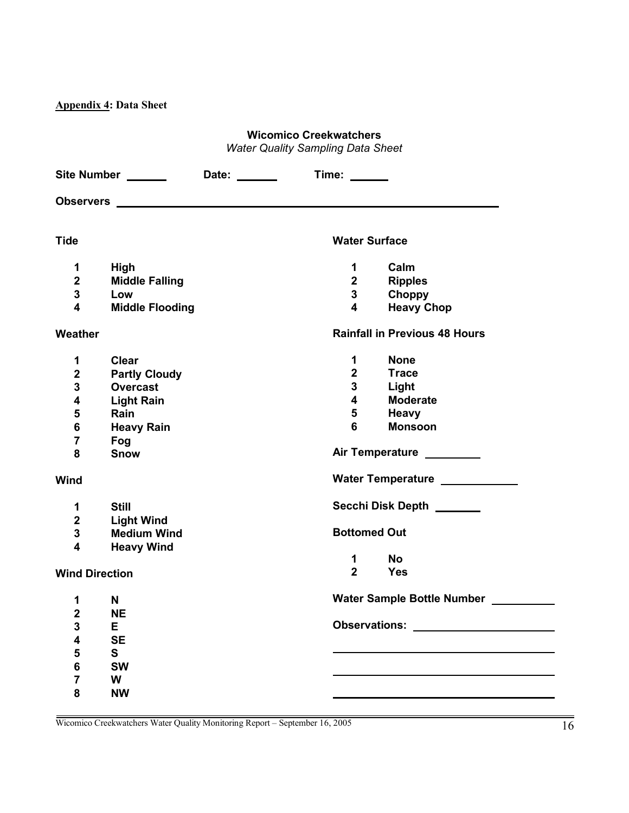**Appendix 4: Data Sheet** 

# **Wicomico Creekwatchers**

*Water Quality Sampling Data Sheet* 

|                         | <b>Site Number</b>     | Date: ______ | Time: ______                         |                                |
|-------------------------|------------------------|--------------|--------------------------------------|--------------------------------|
|                         |                        |              |                                      |                                |
| <b>Tide</b>             |                        |              | <b>Water Surface</b>                 |                                |
|                         |                        |              |                                      |                                |
| 1                       | <b>High</b>            |              | 1                                    | Calm                           |
| $\overline{2}$          | <b>Middle Falling</b>  |              | $\overline{2}$                       | <b>Ripples</b>                 |
| $\mathbf 3$             | Low                    |              | $\mathbf 3$                          | <b>Choppy</b>                  |
| $\overline{\mathbf{4}}$ | <b>Middle Flooding</b> |              | $\overline{\mathbf{4}}$              | <b>Heavy Chop</b>              |
| Weather                 |                        |              | <b>Rainfall in Previous 48 Hours</b> |                                |
| 1                       | <b>Clear</b>           |              | 1                                    | <b>None</b>                    |
| $\overline{2}$          | <b>Partly Cloudy</b>   |              | $\mathbf 2$                          | <b>Trace</b>                   |
| 3                       | <b>Overcast</b>        |              | 3                                    | Light                          |
| $\overline{\mathbf{4}}$ | <b>Light Rain</b>      |              | $\overline{\mathbf{4}}$              | <b>Moderate</b>                |
| 5                       | Rain                   |              | 5                                    | <b>Heavy</b>                   |
| $\bf 6$                 | <b>Heavy Rain</b>      |              | 6                                    | <b>Monsoon</b>                 |
| $\overline{\mathbf{7}}$ | Fog                    |              |                                      |                                |
| 8                       | <b>Snow</b>            |              | Air Temperature ________             |                                |
| Wind                    |                        |              |                                      | Water Temperature ____________ |
| 1                       | <b>Still</b>           |              |                                      | Secchi Disk Depth ______       |
| $\mathbf 2$             | <b>Light Wind</b>      |              |                                      |                                |
| $\mathbf 3$             | <b>Medium Wind</b>     |              | <b>Bottomed Out</b>                  |                                |
| $\overline{\mathbf{4}}$ | <b>Heavy Wind</b>      |              |                                      |                                |
|                         |                        |              | 1                                    | <b>No</b>                      |
| <b>Wind Direction</b>   |                        |              | $\overline{2}$                       | <b>Yes</b>                     |
| 1                       | N                      |              |                                      | Water Sample Bottle Number     |
| $\overline{2}$          | <b>NE</b>              |              |                                      |                                |
| 3                       | Е                      |              | <b>Observations:</b>                 |                                |
| 4                       | <b>SE</b>              |              |                                      |                                |
| 5                       | S                      |              |                                      |                                |
| $\bf 6$                 | <b>SW</b>              |              |                                      |                                |
| $\overline{7}$          | W                      |              |                                      |                                |
| 8                       | <b>NW</b>              |              |                                      |                                |
|                         |                        |              |                                      |                                |

i

÷.

 $\mathcal{L}(\mathcal{L})$